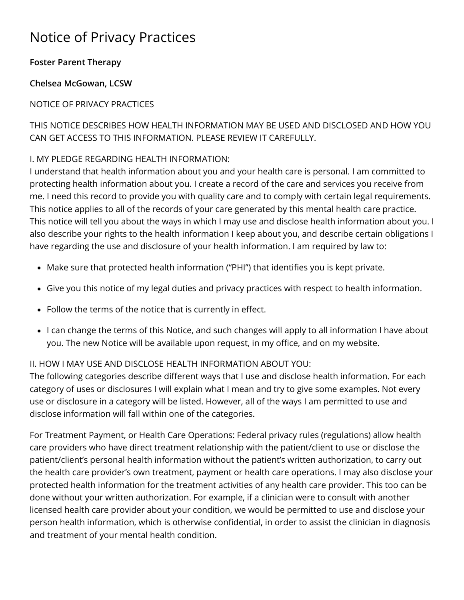# Notice of Privacy Practices

### **Foster Parent Therapy**

**Chelsea McGowan, LCSW**

## NOTICE OF PRIVACY PRACTICES

# THIS NOTICE DESCRIBES HOW HEALTH INFORMATION MAY BE USED AND DISCLOSED AND HOW YOU CAN GET ACCESS TO THIS INFORMATION. PLEASE REVIEW IT CAREFULLY.

# I. MY PLEDGE REGARDING HEALTH INFORMATION:

I understand that health information about you and your health care is personal. I am committed to protecting health information about you. I create a record of the care and services you receive from me. I need this record to provide you with quality care and to comply with certain legal requirements. This notice applies to all of the records of your care generated by this mental health care practice. This notice will tell you about the ways in which I may use and disclose health information about you. I also describe your rights to the health information I keep about you, and describe certain obligations I have regarding the use and disclosure of your health information. I am required by law to:

- Make sure that protected health information ("PHI") that identifies you is kept private.
- Give you this notice of my legal duties and privacy practices with respect to health information.
- Follow the terms of the notice that is currently in effect.
- I can change the terms of this Notice, and such changes will apply to all information I have about you. The new Notice will be available upon request, in my office, and on my website.

### II. HOW I MAY USE AND DISCLOSE HEALTH INFORMATION ABOUT YOU:

The following categories describe different ways that I use and disclose health information. For each category of uses or disclosures I will explain what I mean and try to give some examples. Not every use or disclosure in a category will be listed. However, all of the ways I am permitted to use and disclose information will fall within one of the categories.

For Treatment Payment, or Health Care Operations: Federal privacy rules (regulations) allow health care providers who have direct treatment relationship with the patient/client to use or disclose the patient/client's personal health information without the patient's written authorization, to carry out the health care provider's own treatment, payment or health care operations. I may also disclose your protected health information for the treatment activities of any health care provider. This too can be done without your written authorization. For example, if a clinician were to consult with another licensed health care provider about your condition, we would be permitted to use and disclose your person health information, which is otherwise confidential, in order to assist the clinician in diagnosis and treatment of your mental health condition.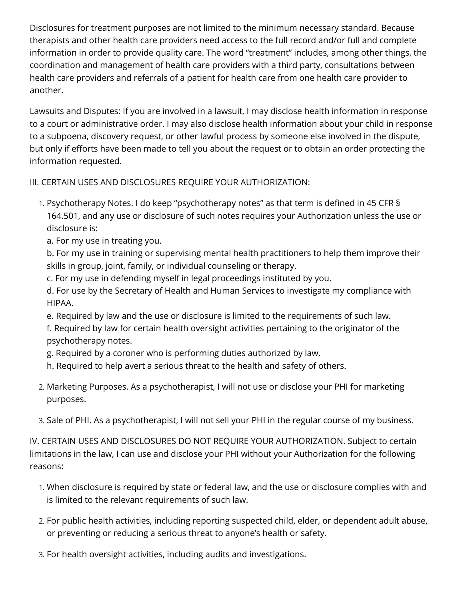Disclosures for treatment purposes are not limited to the minimum necessary standard. Because therapists and other health care providers need access to the full record and/or full and complete information in order to provide quality care. The word "treatment" includes, among other things, the coordination and management of health care providers with a third party, consultations between health care providers and referrals of a patient for health care from one health care provider to another.

Lawsuits and Disputes: If you are involved in a lawsuit, I may disclose health information in response to a court or administrative order. I may also disclose health information about your child in response to a subpoena, discovery request, or other lawful process by someone else involved in the dispute, but only if efforts have been made to tell you about the request or to obtain an order protecting the information requested.

#### III. CERTAIN USES AND DISCLOSURES REQUIRE YOUR AUTHORIZATION:

- 1. Psychotherapy Notes. I do keep "psychotherapy notes" as that term is defined in 45 CFR § 164.501, and any use or disclosure of such notes requires your Authorization unless the use or disclosure is:
	- a. For my use in treating you.

b. For my use in training or supervising mental health practitioners to help them improve their skills in group, joint, family, or individual counseling or therapy.

- c. For my use in defending myself in legal proceedings instituted by you.
- d. For use by the Secretary of Health and Human Services to investigate my compliance with HIPAA.
- e. Required by law and the use or disclosure is limited to the requirements of such law.
- f. Required by law for certain health oversight activities pertaining to the originator of the psychotherapy notes.
- g. Required by a coroner who is performing duties authorized by law.
- h. Required to help avert a serious threat to the health and safety of others.
- 2. Marketing Purposes. As a psychotherapist, I will not use or disclose your PHI for marketing purposes.
- 3. Sale of PHI. As a psychotherapist, I will not sell your PHI in the regular course of my business.

IV. CERTAIN USES AND DISCLOSURES DO NOT REQUIRE YOUR AUTHORIZATION. Subject to certain limitations in the law, I can use and disclose your PHI without your Authorization for the following reasons:

- 1. When disclosure is required by state or federal law, and the use or disclosure complies with and is limited to the relevant requirements of such law.
- 2. For public health activities, including reporting suspected child, elder, or dependent adult abuse, or preventing or reducing a serious threat to anyone's health or safety.
- 3. For health oversight activities, including audits and investigations.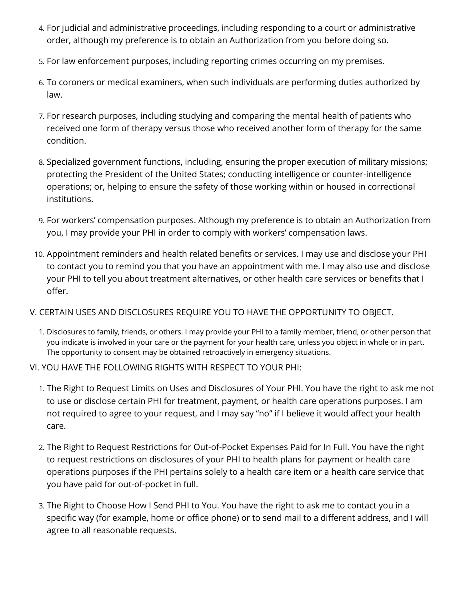- 4. For judicial and administrative proceedings, including responding to a court or administrative order, although my preference is to obtain an Authorization from you before doing so.
- 5. For law enforcement purposes, including reporting crimes occurring on my premises.
- 6. To coroners or medical examiners, when such individuals are performing duties authorized by law.
- 7. For research purposes, including studying and comparing the mental health of patients who received one form of therapy versus those who received another form of therapy for the same condition.
- 8. Specialized government functions, including, ensuring the proper execution of military missions; protecting the President of the United States; conducting intelligence or counter-intelligence operations; or, helping to ensure the safety of those working within or housed in correctional institutions.
- 9. For workers' compensation purposes. Although my preference is to obtain an Authorization from you, I may provide your PHI in order to comply with workers' compensation laws.
- 10. Appointment reminders and health related benefits or services. I may use and disclose your PHI to contact you to remind you that you have an appointment with me. I may also use and disclose your PHI to tell you about treatment alternatives, or other health care services or benefits that I offer.
- V. CERTAIN USES AND DISCLOSURES REQUIRE YOU TO HAVE THE OPPORTUNITY TO OBJECT.
	- 1. Disclosures to family, friends, or others. I may provide your PHI to a family member, friend, or other person that you indicate is involved in your care or the payment for your health care, unless you object in whole or in part. The opportunity to consent may be obtained retroactively in emergency situations.
- VI. YOU HAVE THE FOLLOWING RIGHTS WITH RESPECT TO YOUR PHI:
	- 1. The Right to Request Limits on Uses and Disclosures of Your PHI. You have the right to ask me not to use or disclose certain PHI for treatment, payment, or health care operations purposes. I am not required to agree to your request, and I may say "no" if I believe it would affect your health care.
	- 2. The Right to Request Restrictions for Out-of-Pocket Expenses Paid for In Full. You have the right to request restrictions on disclosures of your PHI to health plans for payment or health care operations purposes if the PHI pertains solely to a health care item or a health care service that you have paid for out-of-pocket in full.
	- 3. The Right to Choose How I Send PHI to You. You have the right to ask me to contact you in a specific way (for example, home or office phone) or to send mail to a different address, and I will agree to all reasonable requests.